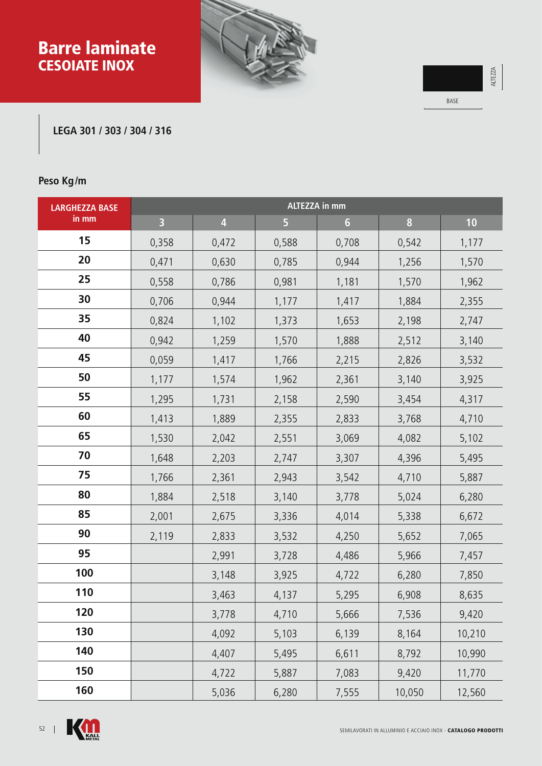# Barre laminate CESOIATE INOX





#### **LEGA 301 / 303 / 304 / 316**

## **Peso Kg/m**

| <b>LARGHEZZA BASE</b> | <b>ALTEZZA in mm</b>    |                         |       |                |        |        |  |  |
|-----------------------|-------------------------|-------------------------|-------|----------------|--------|--------|--|--|
| in mm                 | $\overline{\mathbf{3}}$ | $\overline{\mathbf{4}}$ | 5     | $6\phantom{1}$ | 8      | 10     |  |  |
| 15                    | 0,358                   | 0,472                   | 0,588 | 0,708          | 0,542  | 1,177  |  |  |
| 20                    | 0,471                   | 0,630                   | 0,785 | 0,944          | 1,256  | 1,570  |  |  |
| 25                    | 0,558                   | 0,786                   | 0,981 | 1,181          | 1,570  | 1,962  |  |  |
| 30                    | 0,706                   | 0,944                   | 1,177 | 1,417          | 1,884  | 2,355  |  |  |
| 35                    | 0,824                   | 1,102                   | 1,373 | 1,653          | 2,198  | 2,747  |  |  |
| 40                    | 0,942                   | 1,259                   | 1,570 | 1,888          | 2,512  | 3,140  |  |  |
| 45                    | 0,059                   | 1,417                   | 1,766 | 2,215          | 2,826  | 3,532  |  |  |
| 50                    | 1,177                   | 1,574                   | 1,962 | 2,361          | 3,140  | 3,925  |  |  |
| 55                    | 1,295                   | 1,731                   | 2,158 | 2,590          | 3,454  | 4,317  |  |  |
| 60                    | 1,413                   | 1,889                   | 2,355 | 2,833          | 3,768  | 4,710  |  |  |
| 65                    | 1,530                   | 2,042                   | 2,551 | 3,069          | 4,082  | 5,102  |  |  |
| 70                    | 1,648                   | 2,203                   | 2,747 | 3,307          | 4,396  | 5,495  |  |  |
| 75                    | 1,766                   | 2,361                   | 2,943 | 3,542          | 4,710  | 5,887  |  |  |
| 80                    | 1,884                   | 2,518                   | 3,140 | 3,778          | 5,024  | 6,280  |  |  |
| 85                    | 2,001                   | 2,675                   | 3,336 | 4,014          | 5,338  | 6,672  |  |  |
| 90                    | 2,119                   | 2,833                   | 3,532 | 4,250          | 5,652  | 7,065  |  |  |
| 95                    |                         | 2,991                   | 3,728 | 4,486          | 5,966  | 7,457  |  |  |
| 100                   |                         | 3,148                   | 3,925 | 4,722          | 6,280  | 7,850  |  |  |
| 110                   |                         | 3,463                   | 4,137 | 5,295          | 6,908  | 8,635  |  |  |
| 120                   |                         | 3,778                   | 4,710 | 5,666          | 7,536  | 9,420  |  |  |
| 130                   |                         | 4,092                   | 5,103 | 6,139          | 8,164  | 10,210 |  |  |
| 140                   |                         | 4,407                   | 5,495 | 6,611          | 8,792  | 10,990 |  |  |
| 150                   |                         | 4,722                   | 5,887 | 7,083          | 9,420  | 11,770 |  |  |
| 160                   |                         | 5,036                   | 6,280 | 7,555          | 10,050 | 12,560 |  |  |